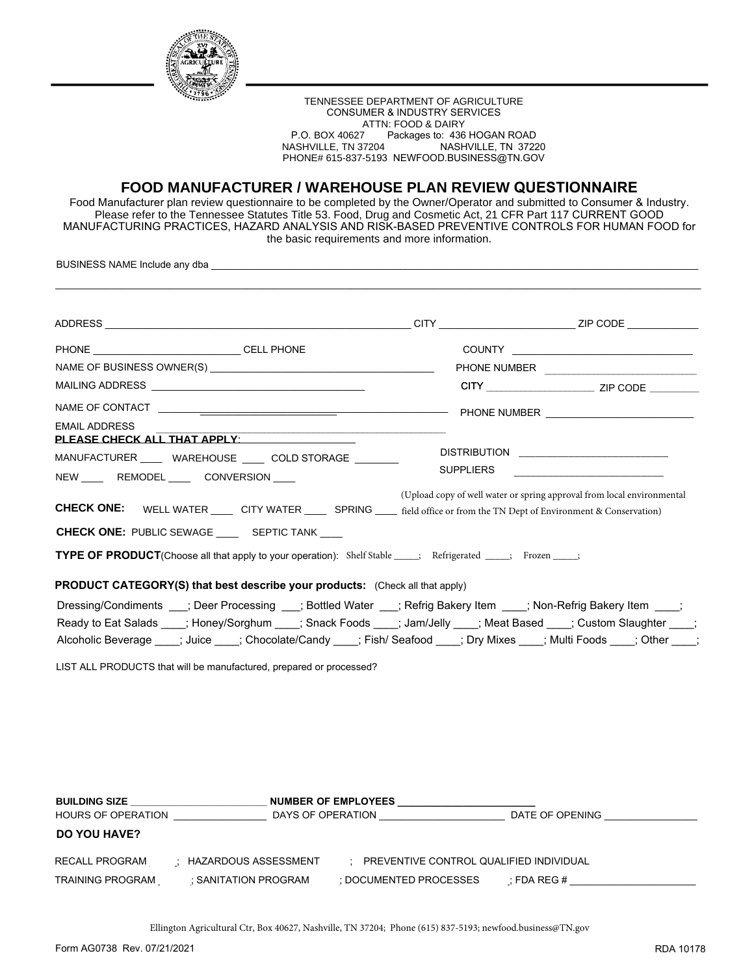

## TENNESSEE DEPARTMENT OF AGRICULTURE CONSUMER & INDUSTRY SERVICES ATTN: FOOD & DAIRY<br>P.O. BOX 40627 Packages to: 436 P.O. BOX 40627 Packages to: 436 HOGAN ROAD<br>NASHVILLE, TN 37204 NASHVILLE, TN 3722 NASHVILLE, TN 37220 PHONE# 615-837-5193 NEWFOOD.BUSINESS@TN.GOV

## **FOOD MANUFACTURER / WAREHOUSE PLAN REVIEW QUESTIONNAIRE**

Food Manufacturer plan review questionnaire to be completed by the Owner/Operator and submitted to Consumer & Industry. Please refer to the Tennessee Statutes Title 53. Food, Drug and Cosmetic Act, 21 CFR Part 117 CURRENT GOOD MANUFACTURING PRACTICES, HAZARD ANALYSIS AND RISK-BASED PREVENTIVE CONTROLS FOR HUMAN FOOD for the basic requirements and more information.

BUSINESS NAME Include any dba

| <b>EMAIL ADDRESS</b>   |                                                                                                                                    |                  |                                                                        |
|------------------------|------------------------------------------------------------------------------------------------------------------------------------|------------------|------------------------------------------------------------------------|
|                        | PLEASE CHECK ALL THAT APPLY: THE CHECK ALL THAT APPLY:                                                                             |                  | DISTRIBUTION _______________________________                           |
|                        | MANUFACTURER ____ WAREHOUSE _ __ COLD STORAGE ___ ___                                                                              |                  |                                                                        |
|                        |                                                                                                                                    | <b>SUPPLIERS</b> |                                                                        |
| NEW REMODEL CONVERSION |                                                                                                                                    |                  |                                                                        |
|                        |                                                                                                                                    |                  |                                                                        |
|                        | <b>CHECK ONE:</b> WELL WATER ______ CITY WATER ______ SPRING _____ field office or from the TN Dept of Environment & Conservation) |                  |                                                                        |
|                        | <b>CHECK ONE: PUBLIC SEWAGE _____ SEPTIC TANK ____</b>                                                                             |                  |                                                                        |
|                        | <b>TYPE OF PRODUCT</b> (Choose all that apply to your operation): Shelf Stable ____; Refrigerated _____; Frozen ____;              |                  |                                                                        |
|                        |                                                                                                                                    |                  | (Upload copy of well water or spring approval from local environmental |
|                        | <b>PRODUCT CATEGORY(S) that best describe your products:</b> (Check all that apply)                                                |                  |                                                                        |
|                        | Dressing/Condiments __; Deer Processing __; Bottled Water __; Refrig Bakery Item ___; Non-Refrig Bakery Item ___;                  |                  |                                                                        |
|                        | Ready to Eat Salads ____; Honey/Sorghum ____; Snack Foods ____; Jam/Jelly ____; Meat Based ____; Custom Slaughter ____;            |                  |                                                                        |

| <b>BUILDING SIZE</b><br><b>HOURS OF OPERATION</b><br>DO YOU HAVE? |                        | <b>NUMBER OF EMPLOYEES</b><br>DAYS OF OPERATION | DATE OF OPENING |  |
|-------------------------------------------------------------------|------------------------|-------------------------------------------------|-----------------|--|
| RECALL PROGRAM                                                    | : HAZARDOUS ASSESSMENT | PREVENTIVE CONTROL QUALIFIED INDIVIDUAL         |                 |  |
| TRAINING PROGRAM                                                  | : SANITATION PROGRAM   | : DOCUMENTED PROCESSES                          | ; FDA REG $\#$  |  |

Ellington Agricultural Ctr, Box 40627, Nashville, TN 37204; Phone (615) 837-5193; newfood.business@TN.gov